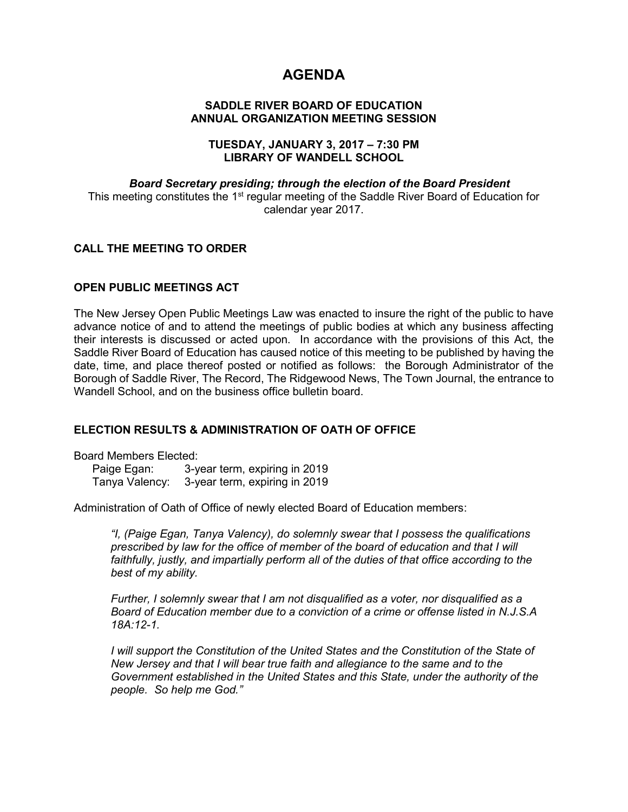# **AGENDA**

# **SADDLE RIVER BOARD OF EDUCATION ANNUAL ORGANIZATION MEETING SESSION**

### **TUESDAY, JANUARY 3, 2017 – 7:30 PM LIBRARY OF WANDELL SCHOOL**

# *Board Secretary presiding; through the election of the Board President* This meeting constitutes the 1<sup>st</sup> regular meeting of the Saddle River Board of Education for calendar year 2017.

# **CALL THE MEETING TO ORDER**

# **OPEN PUBLIC MEETINGS ACT**

The New Jersey Open Public Meetings Law was enacted to insure the right of the public to have advance notice of and to attend the meetings of public bodies at which any business affecting their interests is discussed or acted upon. In accordance with the provisions of this Act, the Saddle River Board of Education has caused notice of this meeting to be published by having the date, time, and place thereof posted or notified as follows: the Borough Administrator of the Borough of Saddle River, The Record, The Ridgewood News, The Town Journal, the entrance to Wandell School, and on the business office bulletin board.

# **ELECTION RESULTS & ADMINISTRATION OF OATH OF OFFICE**

Board Members Elected:

Paige Egan: 3-year term, expiring in 2019 Tanya Valency: 3-year term, expiring in 2019

Administration of Oath of Office of newly elected Board of Education members:

*"I, (Paige Egan, Tanya Valency), do solemnly swear that I possess the qualifications prescribed by law for the office of member of the board of education and that I will*  faithfully, justly, and impartially perform all of the duties of that office according to the *best of my ability.* 

*Further, I solemnly swear that I am not disqualified as a voter, nor disqualified as a Board of Education member due to a conviction of a crime or offense listed in N.J.S.A 18A:12-1.*

*I* will support the Constitution of the United States and the Constitution of the State of *New Jersey and that I will bear true faith and allegiance to the same and to the Government established in the United States and this State, under the authority of the people. So help me God."*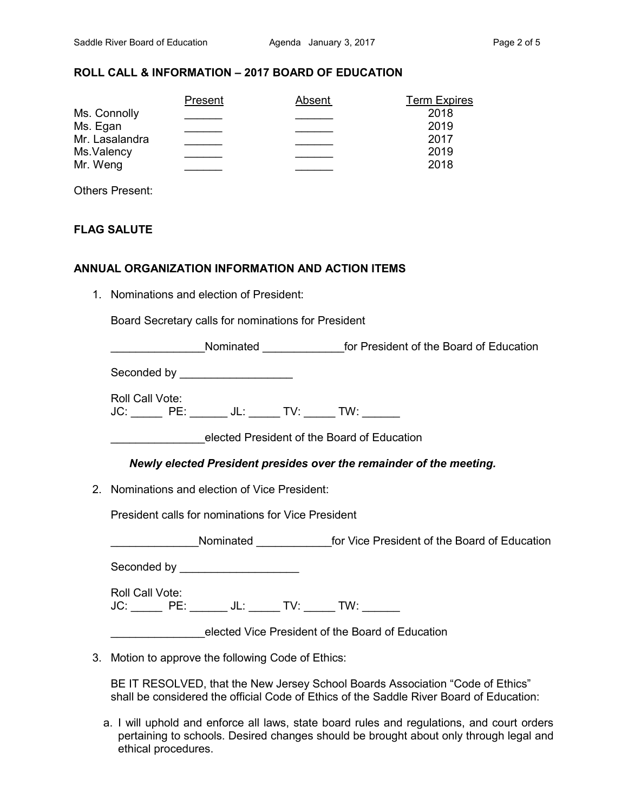# **ROLL CALL & INFORMATION – 2017 BOARD OF EDUCATION**

| Present | Absent | <b>Term Expires</b> |
|---------|--------|---------------------|
|         |        | 2018                |
|         |        | 2019                |
|         |        | 2017                |
|         |        | 2019                |
|         |        | 2018                |
|         |        |                     |

Others Present:

# **FLAG SALUTE**

#### **ANNUAL ORGANIZATION INFORMATION AND ACTION ITEMS**

1. Nominations and election of President:

Board Secretary calls for nominations for President

| Seconded by _____________________                                          |  |  |  |
|----------------------------------------------------------------------------|--|--|--|
| Roll Call Vote:<br>JC: ______ PE: ______ JL: ______ TV: ______ TW: _______ |  |  |  |
| elected President of the Board of Education                                |  |  |  |
| Newly elected President presides over the remainder of the meeting.        |  |  |  |
| 2. Nominations and election of Vice President:                             |  |  |  |
| <b>President calls for nominations for Vice President</b>                  |  |  |  |
|                                                                            |  |  |  |
| Seconded by _____________________                                          |  |  |  |
| Roll Call Vote:<br>JC: ______ PE: ______ JL: _____ TV: _____ TW: ______    |  |  |  |
| elected Vice President of the Board of Education                           |  |  |  |
| 3. Motion to approve the following Code of Ethics:                         |  |  |  |

- BE IT RESOLVED, that the New Jersey School Boards Association "Code of Ethics" shall be considered the official Code of Ethics of the Saddle River Board of Education:
- a. I will uphold and enforce all laws, state board rules and regulations, and court orders pertaining to schools. Desired changes should be brought about only through legal and ethical procedures.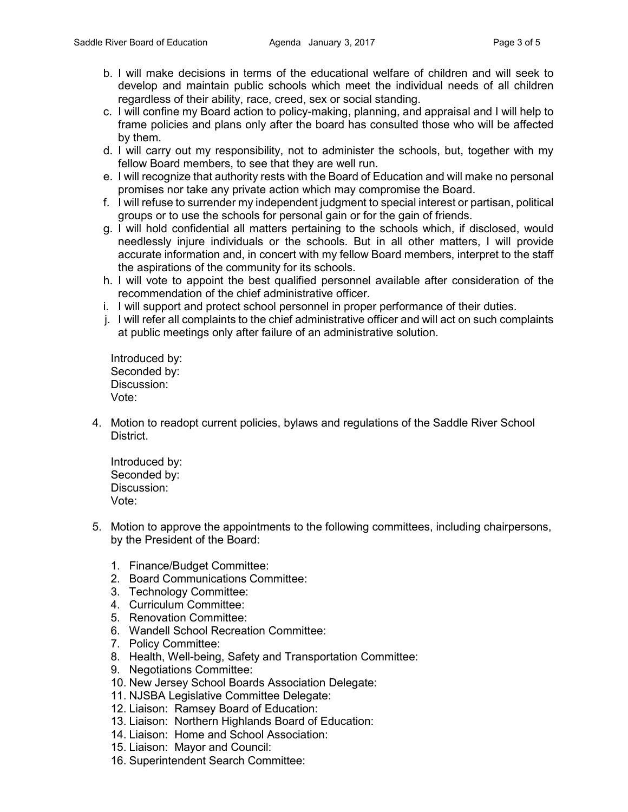- b. I will make decisions in terms of the educational welfare of children and will seek to develop and maintain public schools which meet the individual needs of all children regardless of their ability, race, creed, sex or social standing.
- c. I will confine my Board action to policy-making, planning, and appraisal and I will help to frame policies and plans only after the board has consulted those who will be affected by them.
- d. I will carry out my responsibility, not to administer the schools, but, together with my fellow Board members, to see that they are well run.
- e. I will recognize that authority rests with the Board of Education and will make no personal promises nor take any private action which may compromise the Board.
- f. I will refuse to surrender my independent judgment to special interest or partisan, political groups or to use the schools for personal gain or for the gain of friends.
- g. I will hold confidential all matters pertaining to the schools which, if disclosed, would needlessly injure individuals or the schools. But in all other matters, I will provide accurate information and, in concert with my fellow Board members, interpret to the staff the aspirations of the community for its schools.
- h. I will vote to appoint the best qualified personnel available after consideration of the recommendation of the chief administrative officer.
- i. I will support and protect school personnel in proper performance of their duties.
- j. I will refer all complaints to the chief administrative officer and will act on such complaints at public meetings only after failure of an administrative solution.

Introduced by: Seconded by: Discussion: Vote:

4. Motion to readopt current policies, bylaws and regulations of the Saddle River School District.

Introduced by: Seconded by: Discussion: Vote:

- 5. Motion to approve the appointments to the following committees, including chairpersons, by the President of the Board:
	- 1. Finance/Budget Committee:
	- 2. Board Communications Committee:
	- 3. Technology Committee:
	- 4. Curriculum Committee:
	- 5. Renovation Committee:
	- 6. Wandell School Recreation Committee:
	- 7. Policy Committee:
	- 8. Health, Well-being, Safety and Transportation Committee:
	- 9. Negotiations Committee:
	- 10. New Jersey School Boards Association Delegate:
	- 11. NJSBA Legislative Committee Delegate:
	- 12. Liaison: Ramsey Board of Education:
	- 13. Liaison: Northern Highlands Board of Education:
	- 14. Liaison: Home and School Association:
	- 15. Liaison: Mayor and Council:
	- 16. Superintendent Search Committee: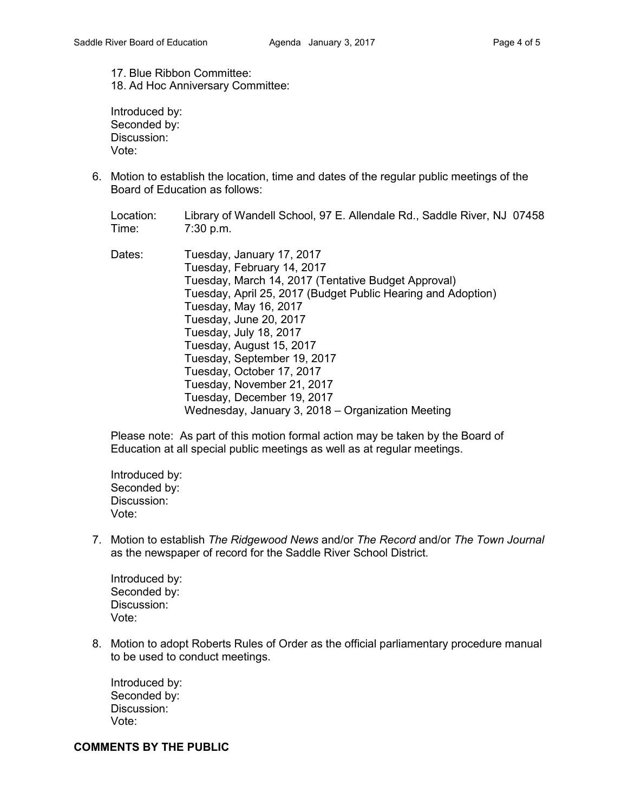17. Blue Ribbon Committee: 18. Ad Hoc Anniversary Committee:

Introduced by: Seconded by: Discussion: Vote:

6. Motion to establish the location, time and dates of the regular public meetings of the Board of Education as follows:

Location: Library of Wandell School, 97 E. Allendale Rd., Saddle River, NJ 07458 Time: 7:30 p.m.

Dates: Tuesday, January 17, 2017 Tuesday, February 14, 2017 Tuesday, March 14, 2017 (Tentative Budget Approval) Tuesday, April 25, 2017 (Budget Public Hearing and Adoption) Tuesday, May 16, 2017 Tuesday, June 20, 2017 Tuesday, July 18, 2017 Tuesday, August 15, 2017 Tuesday, September 19, 2017 Tuesday, October 17, 2017 Tuesday, November 21, 2017 Tuesday, December 19, 2017 Wednesday, January 3, 2018 – Organization Meeting

Please note: As part of this motion formal action may be taken by the Board of Education at all special public meetings as well as at regular meetings.

Introduced by: Seconded by: Discussion: Vote:

7. Motion to establish *The Ridgewood News* and/or *The Record* and/or *The Town Journal* as the newspaper of record for the Saddle River School District.

Introduced by: Seconded by: Discussion: Vote:

8. Motion to adopt Roberts Rules of Order as the official parliamentary procedure manual to be used to conduct meetings.

Introduced by: Seconded by: Discussion: Vote:

#### **COMMENTS BY THE PUBLIC**